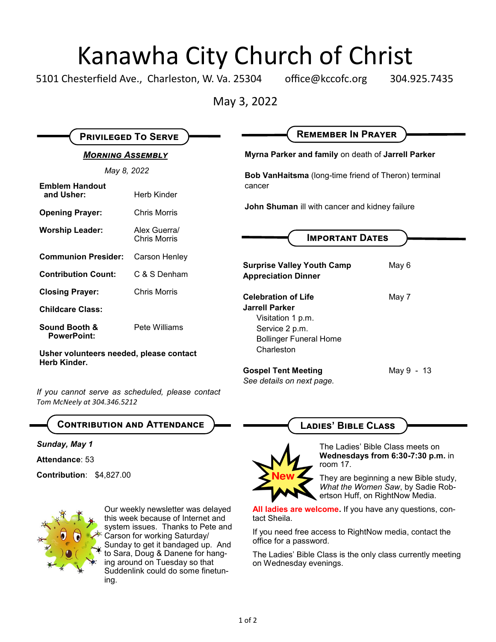## Kanawha City Church of Christ

5101 Chesterfield Ave., Charleston, W. Va. 25304 office@kccofc.org 304.925.7435

May 3, 2022

| <b>PRIVILEGED TO SERVE</b>                              |                                     | <b>REMEMBER IN PRAYER</b>                                                                                         |            |
|---------------------------------------------------------|-------------------------------------|-------------------------------------------------------------------------------------------------------------------|------------|
| <b>MORNING ASSEMBLY</b><br>May 8, 2022                  |                                     | Myrna Parker and family on death of Jarrell Parker<br><b>Bob VanHaitsma</b> (long-time friend of Theron) terminal |            |
|                                                         |                                     |                                                                                                                   |            |
| <b>Opening Prayer:</b>                                  | <b>Chris Morris</b>                 | John Shuman ill with cancer and kidney failure<br><b>IMPORTANT DATES</b>                                          |            |
| <b>Worship Leader:</b>                                  | Alex Guerra/<br><b>Chris Morris</b> |                                                                                                                   |            |
| <b>Communion Presider:</b>                              | Carson Henley                       |                                                                                                                   |            |
| <b>Contribution Count:</b>                              | C & S Denham                        | <b>Surprise Valley Youth Camp</b><br><b>Appreciation Dinner</b>                                                   | May 6      |
| <b>Closing Prayer:</b>                                  | <b>Chris Morris</b>                 | <b>Celebration of Life</b>                                                                                        | May 7      |
| <b>Childcare Class:</b>                                 |                                     | <b>Jarrell Parker</b>                                                                                             |            |
| Sound Booth &<br><b>PowerPoint:</b>                     | Pete Williams                       | Visitation 1 p.m.<br>Service 2 p.m.<br><b>Bollinger Funeral Home</b>                                              |            |
| Usher volunteers needed, please contact<br>Herb Kinder. |                                     | Charleston                                                                                                        |            |
|                                                         |                                     | <b>Gospel Tent Meeting</b>                                                                                        | May 9 - 13 |
|                                                         |                                     | See details on next page.                                                                                         |            |

*Tom McNeely at 304.346.5212*

**Contribution and Attendance**

*Sunday, May 1* 

**Attendance**: 53

**Contribution**: \$4,827.00



Our weekly newsletter was delayed this week because of Internet and system issues. Thanks to Pete and Carson for working Saturday/ Sunday to get it bandaged up. And to Sara, Doug & Danene for hanging around on Tuesday so that Suddenlink could do some finetuning.

**Ladies' Bible Class**



The Ladies' Bible Class meets on **Wednesdays from 6:30-7:30 p.m.** in room 17.

They are beginning a new Bible study, *What the Women Saw*, by Sadie Robertson Huff, on RightNow Media.

**All ladies are welcome.** If you have any questions, contact Sheila.

If you need free access to RightNow media, contact the office for a password.

The Ladies' Bible Class is the only class currently meeting on Wednesday evenings.